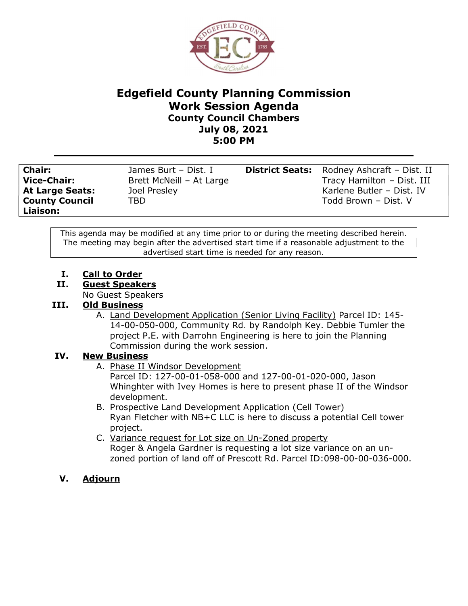

## Edgefield County Planning Commission Work Session Agenda County Council Chambers July 08, 2021 5:00 PM

County Council Liaison:

TBD Todd Brown – Dist. V

Chair: James Burt – Dist. I District Seats: Rodney Ashcraft – Dist. II Vice-Chair: Brett McNeill – At Large Tracy Hamilton – Dist. III **At Large Seats:** Joel Presley Manual At Large Butler – Dist. IV

This agenda may be modified at any time prior to or during the meeting described herein. The meeting may begin after the advertised start time if a reasonable adjustment to the advertised start time is needed for any reason.

- I. Call to Order
- II. Guest Speakers

No Guest Speakers

## III. Old Business

A. Land Development Application (Senior Living Facility) Parcel ID: 145-14-00-050-000, Community Rd. by Randolph Key. Debbie Tumler the project P.E. with Darrohn Engineering is here to join the Planning Commission during the work session.

## IV. New Business

A. Phase II Windsor Development

Parcel ID: 127-00-01-058-000 and 127-00-01-020-000, Jason Whinghter with Ivey Homes is here to present phase II of the Windsor development.

- B. Prospective Land Development Application (Cell Tower) Ryan Fletcher with NB+C LLC is here to discuss a potential Cell tower project.
- C. Variance request for Lot size on Un-Zoned property Roger & Angela Gardner is requesting a lot size variance on an unzoned portion of land off of Prescott Rd. Parcel ID:098-00-00-036-000.
- V. Adjourn